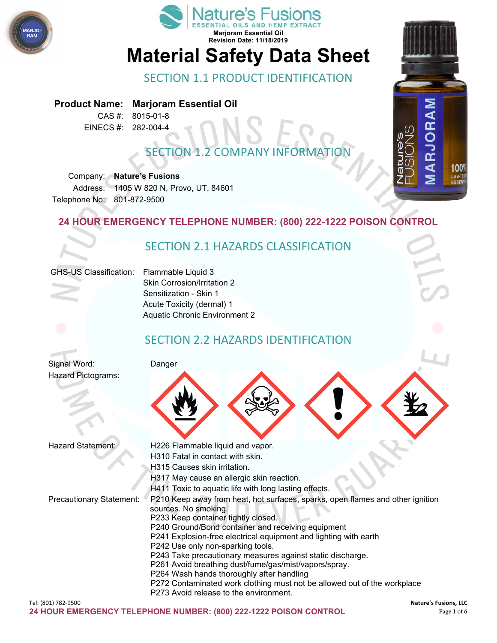



# SECTION 1.1 PRODUCT IDENTIFICATION

**Product Name: Marjoram Essential Oil**

CAS #: 8015-01-8 EINECS #: 282-004-4

## SECTION 1.2 COMPANY INFORMATION

Company: **Nature's Fusions** Address: 1405 W 820 N, Provo, UT, 84601 Telephone No: 801-872-9500

#### **24 HOUR EMERGENCY TELEPHONE NUMBER: (800) 222-1222 POISON CONTROL**

## SECTION 2.1 HAZARDS CLASSIFICATION

#### GHS-US Classification: Flammable Liquid 3

Skin Corrosion/Irritation 2 Sensitization - Skin 1 Acute Toxicity (dermal) 1 Aquatic Chronic Environment 2

## SECTION 2.2 HAZARDS IDENTIFICATION

Signal Word: Danger Hazard Pictograms:



| Hazard Statement:               | H226 Flammable liquid and vapor.                                                                       |
|---------------------------------|--------------------------------------------------------------------------------------------------------|
|                                 | H310 Fatal in contact with skin.                                                                       |
|                                 | H315 Causes skin irritation.                                                                           |
|                                 | H317 May cause an allergic skin reaction.                                                              |
|                                 | H411 Toxic to aquatic life with long lasting effects.                                                  |
| <b>Precautionary Statement:</b> | P210 Keep away from heat, hot surfaces, sparks, open flames and other ignition<br>sources. No smoking. |
|                                 | P233 Keep container tightly closed.                                                                    |
|                                 | P240 Ground/Bond container and receiving equipment                                                     |
|                                 | P241 Explosion-free electrical equipment and lighting with earth                                       |
|                                 | P242 Use only non-sparking tools.                                                                      |
|                                 | P243 Take precautionary measures against static discharge.                                             |
|                                 | P261 Avoid breathing dust/fume/gas/mist/vapors/spray.                                                  |
|                                 | P264 Wash hands thoroughly after handling                                                              |
|                                 | P272 Contaminated work clothing must not be allowed out of the workplace                               |
|                                 | P273 Avoid release to the environment.                                                                 |

RJORAM

100% LAB-TES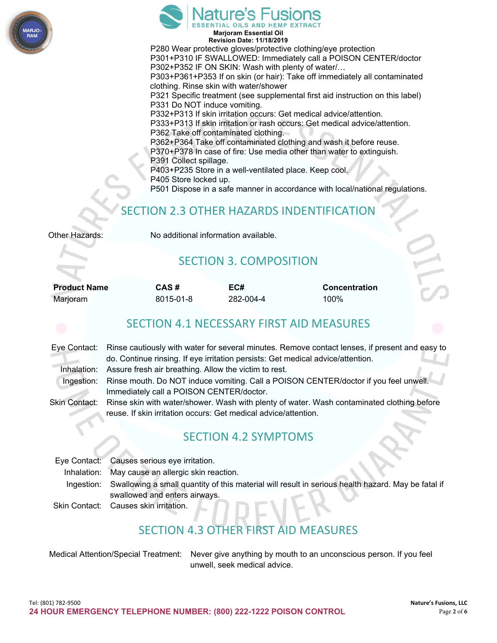



**Revision Date: 11/18/2019** P280 Wear protective gloves/protective clothing/eye protection P301+P310 IF SWALLOWED: Immediately call a POISON CENTER/doctor P302+P352 IF ON SKIN: Wash with plenty of water/… P303+P361+P353 If on skin (or hair): Take off immediately all contaminated clothing. Rinse skin with water/shower P321 Specific treatment (see supplemental first aid instruction on this label) P331 Do NOT induce vomiting. P332+P313 If skin irritation occurs: Get medical advice/attention. P333+P313 If skin irritation or rash occurs: Get medical advice/attention. P362 Take off contaminated clothing. P362+P364 Take off contaminated clothing and wash it before reuse. P370+P378 In case of fire: Use media other than water to extinguish. P391 Collect spillage. P403+P235 Store in a well-ventilated place. Keep cool. P405 Store locked up. P501 Dispose in a safe manner in accordance with local/national regulations.

## SECTION 2.3 OTHER HAZARDS INDENTIFICATION

| Other Hazards: |  |
|----------------|--|
|----------------|--|

No additional information available.

## SECTION 3. COMPOSITION

| <b>Product Name</b> | CAS#      | EC#       | <b>Concentration</b> |
|---------------------|-----------|-----------|----------------------|
| Marjoram            | 8015-01-8 | 282-004-4 | 100%                 |

#### SECTION 4.1 NECESSARY FIRST AID MEASURES

|            | Eye Contact: Rinse cautiously with water for several minutes. Remove contact lenses, if present and easy to |
|------------|-------------------------------------------------------------------------------------------------------------|
|            | do. Continue rinsing. If eye irritation persists: Get medical advice/attention.                             |
|            | Inhalation: Assure fresh air breathing. Allow the victim to rest.                                           |
| Ingestion: | Rinse mouth. Do NOT induce vomiting. Call a POISON CENTER/doctor if you feel unwell.                        |
|            | Immediately call a POISON CENTER/doctor.                                                                    |
|            | Skin Contact: Rinse skin with water/shower. Wash with plenty of water. Wash contaminated clothing before    |
|            | reuse. If skin irritation occurs: Get medical advice/attention.                                             |
|            |                                                                                                             |

## SECTION 4.2 SYMPTOMS

| Eye Contact: Causes serious eye irritation.                                                                   |
|---------------------------------------------------------------------------------------------------------------|
| Inhalation: May cause an allergic skin reaction.                                                              |
| Ingestion: Swallowing a small quantity of this material will result in serious health hazard. May be fatal if |
| swallowed and enters airways.                                                                                 |
| Skin Contact: Causes skin irritation.                                                                         |

# SECTION 4.3 OTHER FIRST AID MEASURES

| Medical Attention/Special Treatment: Never give anything by mouth to an unconscious person. If you feel |
|---------------------------------------------------------------------------------------------------------|
| unwell, seek medical advice.                                                                            |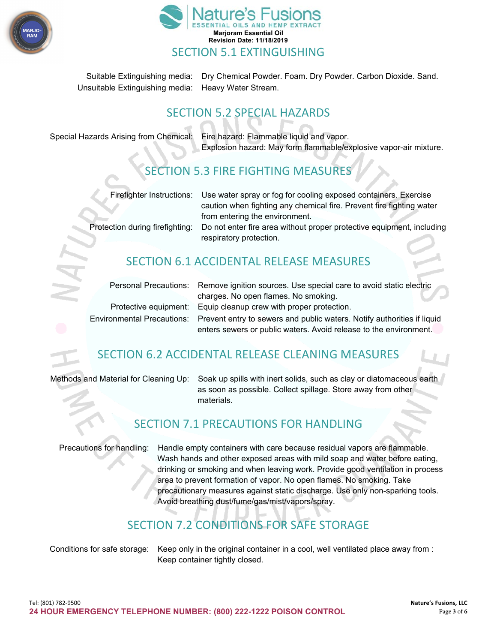



Suitable Extinguishing media: Dry Chemical Powder. Foam. Dry Powder. Carbon Dioxide. Sand. Unsuitable Extinguishing media: Heavy Water Stream.

### SECTION 5.2 SPECIAL HAZARDS

Special Hazards Arising from Chemical: Fire hazard: Flammable liquid and vapor. Explosion hazard: May form flammable/explosive vapor-air mixture.

## SECTION 5.3 FIRE FIGHTING MEASURES

|                                 | Firefighter Instructions: Use water spray or fog for cooling exposed containers. Exercise |
|---------------------------------|-------------------------------------------------------------------------------------------|
|                                 | caution when fighting any chemical fire. Prevent fire fighting water                      |
|                                 | from entering the environment.                                                            |
| Protection during firefighting: | Do not enter fire area without proper protective equipment, including                     |
|                                 | respiratory protection.                                                                   |
|                                 |                                                                                           |

## SECTION 6.1 ACCIDENTAL RELEASE MEASURES

|                                                                                                    | Personal Precautions: Remove ignition sources. Use special care to avoid static electric |
|----------------------------------------------------------------------------------------------------|------------------------------------------------------------------------------------------|
|                                                                                                    | charges. No open flames. No smoking.                                                     |
|                                                                                                    | Protective equipment: Equip cleanup crew with proper protection.                         |
| Environmental Precautions: Prevent entry to sewers and public waters. Notify authorities if liquid |                                                                                          |
|                                                                                                    | enters sewers or public waters. Avoid release to the environment.                        |

#### SECTION 6.2 ACCIDENTAL RELEASE CLEANING MEASURES

Methods and Material for Cleaning Up: Soak up spills with inert solids, such as clay or diatomaceous earth as soon as possible. Collect spillage. Store away from other materials.

#### SECTION 7.1 PRECAUTIONS FOR HANDLING

Precautions for handling: Handle empty containers with care because residual vapors are flammable. Wash hands and other exposed areas with mild soap and water before eating, drinking or smoking and when leaving work. Provide good ventilation in process area to prevent formation of vapor. No open flames. No smoking. Take precautionary measures against static discharge. Use only non-sparking tools. Avoid breathing dust/fume/gas/mist/vapors/spray.

## SECTION 7.2 CONDITIONS FOR SAFE STORAGE

Conditions for safe storage: Keep only in the original container in a cool, well ventilated place away from : Keep container tightly closed.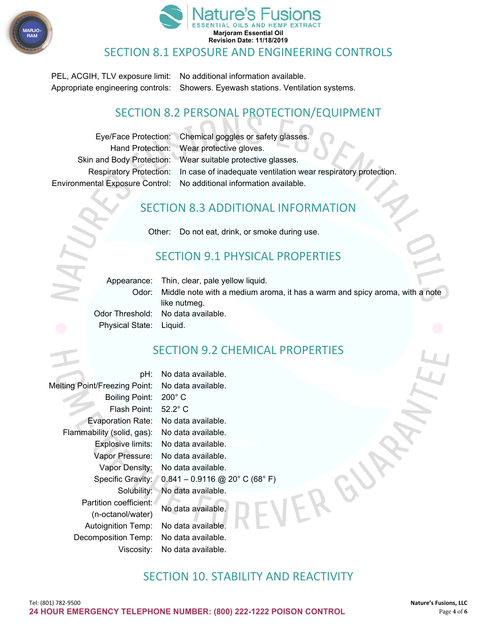



#### SECTION 8.1 EXPOSURE AND ENGINEERING CONTROLS

PEL, ACGIH, TLV exposure limit: No additional information available. Appropriate engineering controls: Showers. Eyewash stations. Ventilation systems.

### SECTION 8.2 PERSONAL PROTECTION/EQUIPMENT

Eye/Face Protection: Chemical goggles or safety glasses. Hand Protection: Wear protective gloves. Skin and Body Protection: Wear suitable protective glasses. Respiratory Protection: In case of inadequate ventilation wear respiratory protection. Environmental Exposure Control: No additional information available.

#### SECTION 8.3 ADDITIONAL INFORMATION

Other: Do not eat, drink, or smoke during use.

#### SECTION 9.1 PHYSICAL PROPERTIES

Appearance: Thin, clear, pale yellow liquid.

Odor: Middle note with a medium aroma, it has a warm and spicy aroma, with a note like nutmeg. Odor Threshold: No data available.

Physical State: Liquid.

#### SECTION 9.2 CHEMICAL PROPERTIES

| pH:                                  | No data available.               |
|--------------------------------------|----------------------------------|
| <b>Melting Point/Freezing Point:</b> | No data available.               |
| <b>Boiling Point:</b>                | $200^\circ$ C                    |
| Flash Point:                         | $52.2^\circ$ C                   |
| <b>Evaporation Rate:</b>             | No data available.               |
| Flammability (solid, gas):           | No data available.               |
| Explosive limits:                    | No data available.               |
| Vapor Pressure:                      | No data available.               |
| Vapor Density:                       | No data available.               |
| Specific Gravity:                    | $0.841 - 0.9116$ @ 20° C (68° F) |
| Solubility:                          | No data available.               |
| Partition coefficient:               | No data available.               |
| (n-octanol/water)                    |                                  |
| <b>Autoignition Temp:</b>            | No data available.               |
| Decomposition Temp:                  | No data available.               |
| Viscosity:                           | No data available.               |
|                                      |                                  |

#### SECTION 10. STABILITY AND REACTIVITY

ERG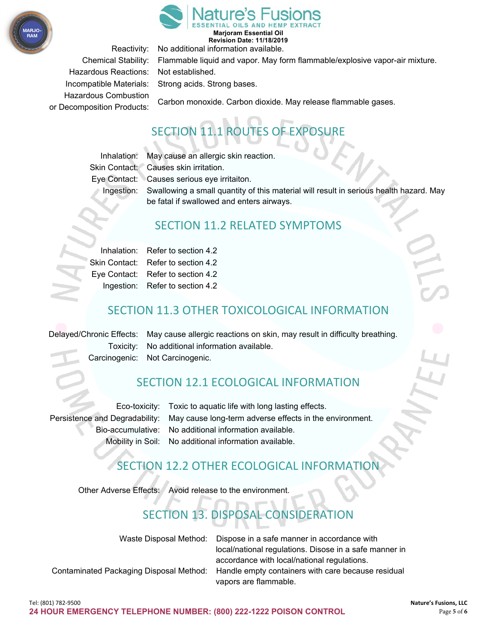



**Marjoram Essential Oil Revision Date: 11/18/2019**

Reactivity: No additional information available.

Hazardous Reactions: Not established. Hazardous Combustion

Chemical Stability: Flammable liquid and vapor. May form flammable/explosive vapor-air mixture. Incompatible Materials: Strong acids. Strong bases.

Carbon monoxide. Carbon dioxide. May release flammable gases. or Decomposition Products:

# SECTION 11.1 ROUTES OF EXPOSURE

Inhalation: May cause an allergic skin reaction.

Skin Contact: Causes skin irritation. Eye Contact: Causes serious eye irritaiton.

Ingestion: Swallowing a small quantity of this material will result in serious health hazard. May be fatal if swallowed and enters airways.

#### SECTION 11.2 RELATED SYMPTOMS

|               | Inhalation: Refer to section 4.2  |
|---------------|-----------------------------------|
| Skin Contact: | Refer to section 4.2              |
|               | Eye Contact: Refer to section 4.2 |
|               | Ingestion: Refer to section 4.2   |

### SECTION 11.3 OTHER TOXICOLOGICAL INFORMATION

Delayed/Chronic Effects: May cause allergic reactions on skin, may result in difficulty breathing. Toxicity: No additional information available. Carcinogenic: Not Carcinogenic.

## SECTION 12.1 ECOLOGICAL INFORMATION

Eco-toxicity: Toxic to aquatic life with long lasting effects. Persistence and Degradability: May cause long-term adverse effects in the environment. Bio-accumulative: No additional information available. Mobility in Soil: No additional information available.

## SECTION 12.2 OTHER ECOLOGICAL INFORMATION

Other Adverse Effects: Avoid release to the environment.

## SECTION 13. DISPOSAL CONSIDERATION

| Waste Disposal Method: Dispose in a safe manner in accordance with                         |
|--------------------------------------------------------------------------------------------|
| local/national regulations. Disose in a safe manner in                                     |
| accordance with local/national regulations.                                                |
| Contaminated Packaging Disposal Method: Handle empty containers with care because residual |
| vapors are flammable.                                                                      |